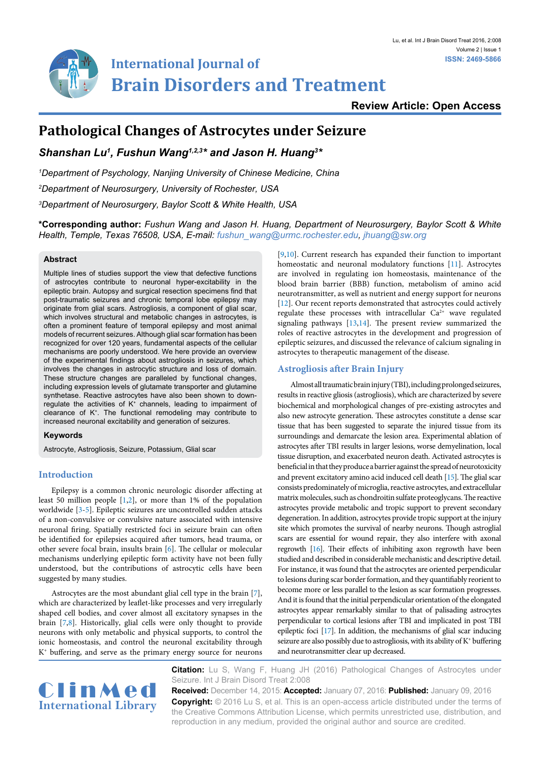

## **Review Article: Open Access**

# **Pathological Changes of Astrocytes under Seizure**

*Shanshan Lu1 , Fushun Wang1,2,3\* and Jason H. Huang3 \**

*1 Department of Psychology, Nanjing University of Chinese Medicine, China*

*2 Department of Neurosurgery, University of Rochester, USA*

*3 Department of Neurosurgery, Baylor Scott & White Health, USA*

**\*Corresponding author:** *Fushun Wang and Jason H. Huang, Department of Neurosurgery, Baylor Scott & White Health, Temple, Texas 76508, USA, E-mail: fushun\_wang@urmc.rochester.edu, jhuang@sw.org*

#### **Abstract**

Multiple lines of studies support the view that defective functions of astrocytes contribute to neuronal hyper-excitability in the epileptic brain. Autopsy and surgical resection specimens find that post-traumatic seizures and chronic temporal lobe epilepsy may originate from glial scars. Astrogliosis, a component of glial scar, which involves structural and metabolic changes in astrocytes, is often a prominent feature of temporal epilepsy and most animal models of recurrent seizures. Although glial scar formation has been recognized for over 120 years, fundamental aspects of the cellular mechanisms are poorly understood. We here provide an overview of the experimental findings about astrogliosis in seizures, which involves the changes in astrocytic structure and loss of domain. These structure changes are paralleled by functional changes, including expression levels of glutamate transporter and glutamine synthetase. Reactive astrocytes have also been shown to downregulate the activities of K<sup>+</sup> channels, leading to impairment of clearance of K+. The functional remodeling may contribute to increased neuronal excitability and generation of seizures.

## **Keywords**

Astrocyte, Astrogliosis, Seizure, Potassium, Glial scar

#### **Introduction**

Epilepsy is a common chronic neurologic disorder affecting at least 50 million people [\[1](#page-3-0)[,2\]](#page-3-1), or more than 1% of the population worldwide [[3-](#page-3-2)[5](#page-3-3)]. Epileptic seizures are uncontrolled sudden attacks of a non-convulsive or convulsive nature associated with intensive neuronal firing. Spatially restricted foci in seizure brain can often be identified for epilepsies acquired after tumors, head trauma, or other severe focal brain, insults brain [[6](#page-3-4)]. The cellular or molecular mechanisms underlying epileptic form activity have not been fully understood, but the contributions of astrocytic cells have been suggested by many studies.

Astrocytes are the most abundant glial cell type in the brain [[7\]](#page-3-5), which are characterized by leaflet-like processes and very irregularly shaped cell bodies, and cover almost all excitatory synapses in the brain [[7](#page-3-5)[,8\]](#page-3-6). Historically, glial cells were only thought to provide neurons with only metabolic and physical supports, to control the ionic homeostasis, and control the neuronal excitability through  $K<sup>+</sup>$  buffering, and serve as the primary energy source for neurons

[\[9,](#page-3-7)[10](#page-3-8)]. Current research has expanded their function to important homeostatic and neuronal modulatory functions [[11](#page-3-9)]. Astrocytes are involved in regulating ion homeostasis, maintenance of the blood brain barrier (BBB) function, metabolism of amino acid neurotransmitter, as well as nutrient and energy support for neurons [\[12\]](#page-3-10). Our recent reports demonstrated that astrocytes could actively regulate these processes with intracellular  $Ca^{2+}$  wave regulated signaling pathways [[13,](#page-3-11)[14](#page-3-12)]. The present review summarized the roles of reactive astrocytes in the development and progression of epileptic seizures, and discussed the relevance of calcium signaling in astrocytes to therapeutic management of the disease.

### **Astrogliosis after Brain Injury**

Almost all traumatic brain injury (TBI), including prolonged seizures, results in reactive gliosis (astrogliosis), which are characterized by severe biochemical and morphological changes of pre-existing astrocytes and also new astrocyte generation. These astrocytes constitute a dense scar tissue that has been suggested to separate the injured tissue from its surroundings and demarcate the lesion area. Experimental ablation of astrocytes after TBI results in larger lesions, worse demyelination, local tissue disruption, and exacerbated neuron death. Activated astrocytes is beneficial in that they produce a barrier against the spread of neurotoxicity and prevent excitatory amino acid induced cell death [[15](#page-3-13)]. The glial scar consists predominately of microglia, reactive astrocytes, and extracellular matrix molecules, such as chondroitin sulfate proteoglycans. The reactive astrocytes provide metabolic and tropic support to prevent secondary degeneration. In addition, astrocytes provide tropic support at the injury site which promotes the survival of nearby neurons. Though astroglial scars are essential for wound repair, they also interfere with axonal regrowth [[16](#page-3-14)]. Their effects of inhibiting axon regrowth have been studied and described in considerable mechanistic and descriptive detail. For instance, it was found that the astrocytes are oriented perpendicular to lesions during scar border formation, and they quantifiably reorient to become more or less parallel to the lesion as scar formation progresses. And it is found that the initial perpendicular orientation of the elongated astrocytes appear remarkably similar to that of palisading astrocytes perpendicular to cortical lesions after TBI and implicated in post TBI epileptic foci [\[17](#page-3-15)]. In addition, the mechanisms of glial scar inducing seizure are also possibly due to astrogliosis, with its ability of K<sup>+</sup> buffering and neurotransmitter clear up decreased.



**Citation:** Lu S, Wang F, Huang JH (2016) Pathological Changes of Astrocytes under Seizure. Int J Brain Disord Treat 2:008

**Received:** December 14, 2015: **Accepted:** January 07, 2016: **Published:** January 09, 2016 **Copyright:** © 2016 Lu S, et al. This is an open-access article distributed under the terms of the Creative Commons Attribution License, which permits unrestricted use, distribution, and reproduction in any medium, provided the original author and source are credited.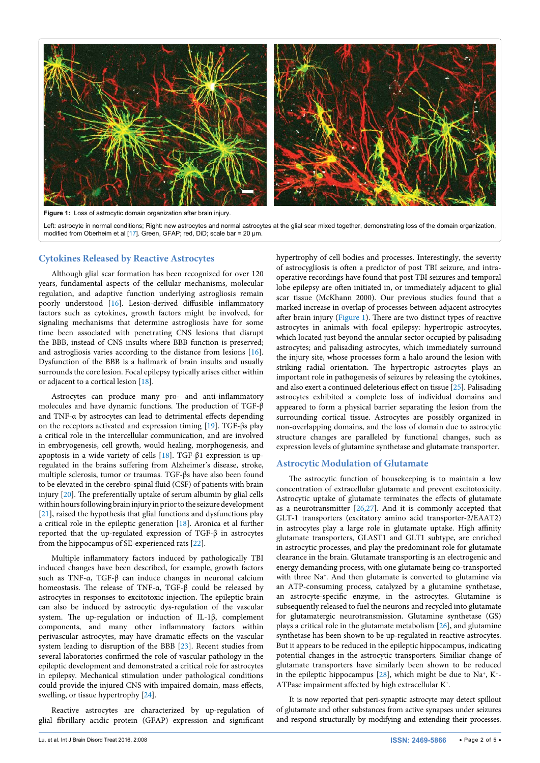<span id="page-1-0"></span>

Left: astrocyte in normal conditions; Right: new astrocytes and normal astrocytes at the glial scar mixed together, demonstrating loss of the domain organization, modified from Oberheim et al [[17](#page-3-15)]. Green, GFAP; red, DiD; scale bar = 20 μm.

### **Cytokines Released by Reactive Astrocytes**

Although glial scar formation has been recognized for over 120 years, fundamental aspects of the cellular mechanisms, molecular regulation, and adaptive function underlying astrogliosis remain poorly understood [\[16](#page-3-14)]. Lesion-derived diffusible inflammatory factors such as cytokines, growth factors might be involved, for signaling mechanisms that determine astrogliosis have for some time been associated with penetrating CNS lesions that disrupt the BBB, instead of CNS insults where BBB function is preserved; and astrogliosis varies according to the distance from lesions [[16](#page-3-14)]. Dysfunction of the BBB is a hallmark of brain insults and usually surrounds the core lesion. Focal epilepsy typically arises either within or adjacent to a cortical lesion [[18](#page-3-16)].

Astrocytes can produce many pro- and anti-inflammatory molecules and have dynamic functions. The production of TGF-β and TNF-α by astrocytes can lead to detrimental effects depending on the receptors activated and expression timing [\[19\]](#page-3-17). TGF-βs play a critical role in the intercellular communication, and are involved in embryogenesis, cell growth, would healing, morphogenesis, and apoptosis in a wide variety of cells [\[18\]](#page-3-16). TGF-β1 expression is upregulated in the brains suffering from Alzheimer's disease, stroke, multiple sclerosis, tumor or traumas. TGF-βs have also been found to be elevated in the cerebro-spinal fluid (CSF) of patients with brain injury [[20\]](#page-3-18). The preferentially uptake of serum albumin by glial cells within hours following brain injury in prior to the seizure development [[21](#page-3-19)], raised the hypothesis that glial functions and dysfunctions play a critical role in the epileptic generation [\[18](#page-3-16)]. Aronica et al further reported that the up-regulated expression of TGF-β in astrocytes from the hippocampus of SE-experienced rats [\[22\]](#page-3-20).

Multiple inflammatory factors induced by pathologically TBI induced changes have been described, for example, growth factors such as TNF-α, TGF-β can induce changes in neuronal calcium homeostasis. The release of TNF-α, TGF-β could be released by astrocytes in responses to excitotoxic injection. The epileptic brain can also be induced by astrocytic dys-regulation of the vascular system. The up-regulation or induction of IL-1β, complement components, and many other inflammatory factors within perivascular astrocytes, may have dramatic effects on the vascular system leading to disruption of the BBB [\[23\]](#page-3-21). Recent studies from several laboratories confirmed the role of vascular pathology in the epileptic development and demonstrated a critical role for astrocytes in epilepsy. Mechanical stimulation under pathological conditions could provide the injured CNS with impaired domain, mass effects, swelling, or tissue hypertrophy [[24](#page-3-22)].

Reactive astrocytes are characterized by up-regulation of glial fibrillary acidic protein (GFAP) expression and significant

hypertrophy of cell bodies and processes. Interestingly, the severity of astrocygliosis is often a predictor of post TBI seizure, and intraoperative recordings have found that post TBI seizures and temporal lobe epilepsy are often initiated in, or immediately adjacent to glial scar tissue (McKhann 2000). Our previous studies found that a marked increase in overlap of processes between adjacent astrocytes after brain injury ([Figure 1](#page-1-0)). There are two distinct types of reactive astrocytes in animals with focal epilepsy: hypertropic astrocytes, which located just beyond the annular sector occupied by palisading astrocytes; and palisading astrocytes, which immediately surround the injury site, whose processes form a halo around the lesion with striking radial orientation. The hypertropic astrocytes plays an important role in pathogenesis of seizures by releasing the cytokines, and also exert a continued deleterious effect on tissue [[25](#page-3-23)]. Palisading astrocytes exhibited a complete loss of individual domains and appeared to form a physical barrier separating the lesion from the surrounding cortical tissue. Astrocytes are possibly organized in non-overlapping domains, and the loss of domain due to astrocytic structure changes are paralleled by functional changes, such as expression levels of glutamine synthetase and glutamate transporter.

## **Astrocytic Modulation of Glutamate**

The astrocytic function of housekeeping is to maintain a low concentration of extracellular glutamate and prevent excitotoxicity. Astrocytic uptake of glutamate terminates the effects of glutamate as a neurotransmitter  $[26,27]$  $[26,27]$  $[26,27]$ . And it is commonly accepted that GLT-1 transporters (excitatory amino acid transporter-2/EAAT2) in astrocytes play a large role in glutamate uptake. High affinity glutamate transporters, GLAST1 and GLT1 subtype, are enriched in astrocytic processes, and play the predominant role for glutamate clearance in the brain. Glutamate transporting is an electrogenic and energy demanding process, with one glutamate being co-transported with three Na<sup>+</sup>. And then glutamate is converted to glutamine via an ATP-consuming process, catalyzed by a glutamine synthetase, an astrocyte-specific enzyme, in the astrocytes. Glutamine is subsequently released to fuel the neurons and recycled into glutamate for glutamatergic neurotransmission. Glutamine synthetase (GS) plays a critical role in the glutamate metabolism [\[26\]](#page-3-24), and glutamine synthetase has been shown to be up-regulated in reactive astrocytes. But it appears to be reduced in the epileptic hippocampus, indicating potential changes in the astrocytic transporters. Similiar change of glutamate transporters have similarly been shown to be reduced in the epileptic hippocampus [\[28\]](#page-4-0), which might be due to  $Na^+$ ,  $K^+$ -ATPase impairment affected by high extracellular K+.

It is now reported that peri-synaptic astrocyte may detect spillout of glutamate and other substances from active synapses under seizures and respond structurally by modifying and extending their processes.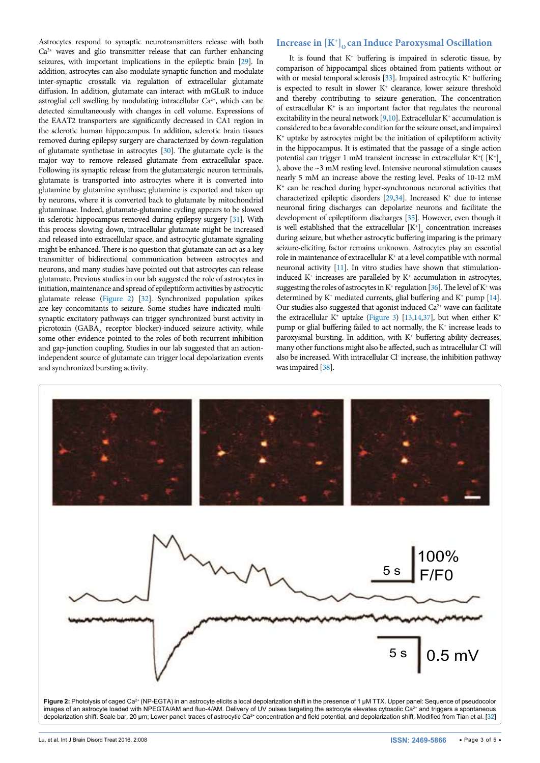Astrocytes respond to synaptic neurotransmitters release with both  $Ca<sup>2+</sup>$  waves and glio transmitter release that can further enhancing seizures, with important implications in the epileptic brain [[29\]](#page-4-1). In addition, astrocytes can also modulate synaptic function and modulate inter-synaptic crosstalk via regulation of extracellular glutamate diffusion. In addition, glutamate can interact with mGLuR to induce astroglial cell swelling by modulating intracellular  $Ca^{2+}$ , which can be detected simultaneously with changes in cell volume. Expressions of the EAAT2 transporters are significantly decreased in CA1 region in the sclerotic human hippocampus. In addition, sclerotic brain tissues removed during epilepsy surgery are characterized by down-regulation of glutamate synthetase in astrocytes [\[30](#page-4-2)]. The glutamate cycle is the major way to remove released glutamate from extracellular space. Following its synaptic release from the glutamatergic neuron terminals, glutamate is transported into astrocytes where it is converted into glutamine by glutamine synthase; glutamine is exported and taken up by neurons, where it is converted back to glutamate by mitochondrial glutaminase. Indeed, glutamate-glutamine cycling appears to be slowed in sclerotic hippocampus removed during epilepsy surgery [\[31\]](#page-4-3). With this process slowing down, intracellular glutamate might be increased and released into extracellular space, and astrocytic glutamate signaling might be enhanced. There is no question that glutamate can act as a key transmitter of bidirectional communication between astrocytes and neurons, and many studies have pointed out that astrocytes can release glutamate. Previous studies in our lab suggested the role of astrocytes in initiation, maintenance and spread of epileptiform activities by astrocytic glutamate release [\(Figure 2\)](#page-2-0) [[32\]](#page-4-4). Synchronized population spikes are key concomitants to seizure. Some studies have indicated multisynaptic excitatory pathways can trigger synchronized burst activity in picrotoxin (GABA, receptor blocker)-induced seizure activity, while some other evidence pointed to the roles of both recurrent inhibition and gap-junction coupling. Studies in our lab suggested that an actionindependent source of glutamate can trigger local depolarization events and synchronized bursting activity.

# Increase in  $[K^+]_0$  can Induce Paroxysmal Oscillation

It is found that  $K^+$  buffering is impaired in sclerotic tissue, by comparison of hippocampal slices obtained from patients without or with or mesial temporal sclerosis  $[33]$ . Impaired astrocytic K<sup>+</sup> buffering is expected to result in slower  $K^+$  clearance, lower seizure threshold and thereby contributing to seizure generation. The concentration of extracellular K+ is an important factor that regulates the neuronal excitability in the neural network  $[9,10]$  $[9,10]$  $[9,10]$ . Extracellular K<sup>+</sup> accumulation is considered to be a favorable condition for the seizure onset, and impaired K+ uptake by astrocytes might be the initiation of epileptiform activity in the hippocampus. It is estimated that the passage of a single action potential can trigger 1 mM transient increase in extracellular K<sup>+</sup>( $[K^+]$ <sub>o</sub> ), above the  $\sim$ 3 mM resting level. Intensive neuronal stimulation causes nearly 5 mM an increase above the resting level. Peaks of 10-12 mM K+ can be reached during hyper-synchronous neuronal activities that characterized epileptic disorders  $[29,34]$  $[29,34]$ . Increased K<sup>+</sup> due to intense neuronal firing discharges can depolarize neurons and facilitate the development of epileptiform discharges [\[35\]](#page-4-7). However, even though it is well established that the extracellular  $[K^+]$ <sub>o</sub> concentration increases during seizure, but whether astrocytic buffering imparing is the primary seizure-eliciting factor remains unknown. Astrocytes play an essential role in maintenance of extracellular  $K^*$  at a level compatible with normal neuronal activity [\[11](#page-3-9)]. In vitro studies have shown that stimulationinduced  $K^+$  increases are paralleled by  $K^+$  accumulation in astrocytes, suggesting the roles of astrocytes in  $K^+$  regulation [\[36](#page-4-8)]. The level of  $K^+$  was determined by  $K^+$  mediated currents, glial buffering and  $K^+$  pump [\[14\]](#page-3-12). Our studies also suggested that agonist induced  $Ca<sup>2+</sup>$  wave can facilitate the extracellular  $K^+$  uptake [\(Figure 3\)](#page-3-26) [\[13](#page-3-11)[,14](#page-3-12)[,37\]](#page-4-9), but when either  $K^+$ pump or glial buffering failed to act normally, the  $K^+$  increase leads to paroxysmal bursting. In addition, with  $K^+$  buffering ability decreases, many other functions might also be affected, such as intracellular Cl will also be increased. With intracellular Cl increase, the inhibition pathway was impaired [[38\]](#page-4-10).

<span id="page-2-0"></span>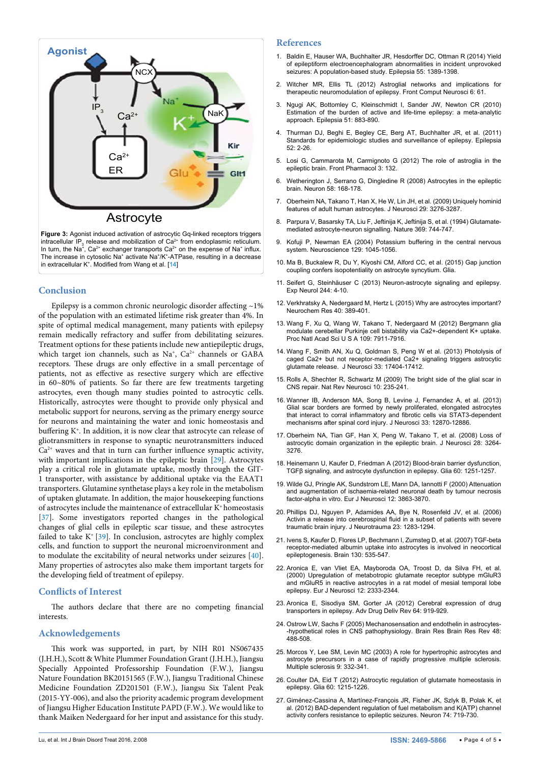<span id="page-3-26"></span>

intracellular IP<sub>3</sub> release and mobilization of Ca<sup>2+</sup> from endoplasmic reticulum. In turn, the Na<sup>+</sup>, Ca<sup>2+</sup> exchanger transports Ca<sup>2+</sup> on the expense of Na<sup>+</sup> influx. The increase in cytosolic Na+ activate Na+/K+-ATPase, resulting in a decrease in extracellular  $K^2$ . Modified from Wang et al. [[14](#page-3-12)]

## **Conclusion**

Epilepsy is a common chronic neurologic disorder affecting  $\sim$ 1% of the population with an estimated lifetime risk greater than 4%. In spite of optimal medical management, many patients with epilepsy remain medically refractory and suffer from debilitating seizures. Treatment options for these patients include new antiepileptic drugs, which target ion channels, such as Na<sup>+</sup>, Ca<sup>2+</sup> channels or GABA receptors. These drugs are only effective in a small percentage of patients, not as effective as resective surgery which are effective in 60~80% of patients. So far there are few treatments targeting astrocytes, even though many studies pointed to astrocytic cells. Historically, astrocytes were thought to provide only physical and metabolic support for neurons, serving as the primary energy source for neurons and maintaining the water and ionic homeostasis and buffering K<sup>+</sup>. In addition, it is now clear that astrocyte can release of gliotransmitters in response to synaptic neurotransmitters induced  $Ca<sup>2+</sup>$  waves and that in turn can further influence synaptic activity, with important implications in the epileptic brain [\[29](#page-4-1)]. Astrocytes play a critical role in glutamate uptake, mostly through the GlT-1 transporter, with assistance by additional uptake via the EAAT1 transporters. Glutamine synthetase plays a key role in the metabolism of uptaken glutamate. In addition, the major housekeeping functions of astrocytes include the maintenance of extracellular K+ homeostasis [[37](#page-4-9)]. Some investigators reported changes in the pathological changes of glial cells in epileptic scar tissue, and these astrocytes failed to take  $K^+$  [\[39\]](#page-4-11). In conclusion, astrocytes are highly complex cells, and function to support the neuronal microenvironment and to modulate the excitability of neural networks under seizures [[40](#page-4-12)]. Many properties of astrocytes also make them important targets for the developing field of treatment of epilepsy.

#### **Conflicts of Interest**

The authors declare that there are no competing financial interests.

## **Acknowledgements**

This work was supported, in part, by NIH R01 NS067435 (J.H.H.), Scott & White Plummer Foundation Grant (J.H.H.), Jiangsu Specially Appointed Professorship Foundation (F.W.), Jiangsu Nature Foundation BK20151565 (F.W.), Jiangsu Traditional Chinese Medicine Foundation ZD201501 (F.W.), Jiangsu Six Talent Peak (2015-YY-006), and also the priority academic program development of Jiangsu Higher Education Institute PAPD (F.W.). We would like to thank Maiken Nedergaard for her input and assistance for this study.

#### **References**

- <span id="page-3-0"></span>1. [Baldin E, Hauser WA, Buchhalter JR, Hesdorffer DC, Ottman R \(2014\) Yield](http://www.ncbi.nlm.nih.gov/pubmed/25041095)  [of epileptiform electroencephalogram abnormalities in incident unprovoked](http://www.ncbi.nlm.nih.gov/pubmed/25041095)  [seizures: A population-based study. Epilepsia 55: 1389-1398.](http://www.ncbi.nlm.nih.gov/pubmed/25041095)
- <span id="page-3-1"></span>2. [Witcher MR, Ellis TL \(2012\) Astroglial networks and implications for](http://www.ncbi.nlm.nih.gov/pubmed/22952462)  [therapeutic neuromodulation of epilepsy. Front Comput Neurosci 6: 61.](http://www.ncbi.nlm.nih.gov/pubmed/22952462)
- <span id="page-3-2"></span>3. [Ngugi AK, Bottomley C, Kleinschmidt I, Sander JW, Newton CR \(2010\)](http://www.ncbi.nlm.nih.gov/pubmed/20067507)  [Estimation of the burden of active and life-time epilepsy: a meta-analytic](http://www.ncbi.nlm.nih.gov/pubmed/20067507)  [approach. Epilepsia 51: 883-890.](http://www.ncbi.nlm.nih.gov/pubmed/20067507)
- 4. [Thurman DJ, Beghi E, Begley CE, Berg AT, Buchhalter JR, et al. \(2011\)](http://www.ncbi.nlm.nih.gov/pubmed/21899536)  [Standards for epidemiologic studies and surveillance of epilepsy. Epilepsia](http://www.ncbi.nlm.nih.gov/pubmed/21899536)  [52: 2-26.](http://www.ncbi.nlm.nih.gov/pubmed/21899536)
- <span id="page-3-3"></span>5. [Losi G, Cammarota M, Carmignoto G \(2012\) The role of astroglia in the](http://www.ncbi.nlm.nih.gov/pubmed/22807916)  [epileptic brain. Front Pharmacol 3: 132.](http://www.ncbi.nlm.nih.gov/pubmed/22807916)
- <span id="page-3-4"></span>6. [Wetherington J, Serrano G, Dingledine R \(2008\) Astrocytes in the epileptic](http://www.ncbi.nlm.nih.gov/pubmed/18439402)  [brain. Neuron 58: 168-178.](http://www.ncbi.nlm.nih.gov/pubmed/18439402)
- <span id="page-3-5"></span>7. [Oberheim NA, Takano T, Han X, He W, Lin JH, et al. \(2009\) Uniquely hominid](http://www.ncbi.nlm.nih.gov/pubmed/19279265)  [features of adult human astrocytes. J Neurosci 29: 3276-3287.](http://www.ncbi.nlm.nih.gov/pubmed/19279265)
- <span id="page-3-6"></span>8. [Parpura V, Basarsky TA, Liu F, Jeftinija K, Jeftinija S, et al. \(1994\) Glutamate](http://www.ncbi.nlm.nih.gov/pubmed/7911978)[mediated astrocyte-neuron signalling. Nature 369: 744-747.](http://www.ncbi.nlm.nih.gov/pubmed/7911978)
- <span id="page-3-7"></span>9. [Kofuji P, Newman EA \(2004\) Potassium buffering in the central nervous](http://www.ncbi.nlm.nih.gov/pubmed/15561419)  [system. Neuroscience 129: 1045-1056.](http://www.ncbi.nlm.nih.gov/pubmed/15561419)
- <span id="page-3-8"></span>10. [Ma B, Buckalew R, Du Y, Kiyoshi CM, Alford CC, et al. \(2015\) Gap junction](http://www.ncbi.nlm.nih.gov/pubmed/26435164)  [coupling confers isopotentiality on astrocyte syncytium. Glia.](http://www.ncbi.nlm.nih.gov/pubmed/26435164)
- <span id="page-3-9"></span>11. [Seifert G, Steinhäuser C \(2013\) Neuron-astrocyte signaling and epilepsy.](http://www.ncbi.nlm.nih.gov/pubmed/21925173)  [Exp Neurol 244: 4-10.](http://www.ncbi.nlm.nih.gov/pubmed/21925173)
- <span id="page-3-10"></span>12. [Verkhratsky A, Nedergaard M, Hertz L \(2015\) Why are astrocytes important?](http://www.ncbi.nlm.nih.gov/pubmed/25113122)  [Neurochem Res 40: 389-401.](http://www.ncbi.nlm.nih.gov/pubmed/25113122)
- <span id="page-3-11"></span>13. [Wang F, Xu Q, Wang W, Takano T, Nedergaard M \(2012\) Bergmann glia](http://www.ncbi.nlm.nih.gov/pubmed/22547829)  modulate cerebellar Purkinje cell bistability via Ca2+-dependent K+ uptake. [Proc Natl Acad Sci U S A 109: 7911-7916.](http://www.ncbi.nlm.nih.gov/pubmed/22547829)
- <span id="page-3-12"></span>14. [Wang F, Smith AN, Xu Q, Goldman S, Peng W et al. \(2013\) Photolysis of](http://www.ncbi.nlm.nih.gov/pubmed/24174673)  [caged Ca2+ but not receptor-mediated Ca2+ signaling triggers astrocytic](http://www.ncbi.nlm.nih.gov/pubmed/24174673)  [glutamate release. J Neurosci 33: 17404-17412.](http://www.ncbi.nlm.nih.gov/pubmed/24174673)
- <span id="page-3-13"></span>15. [Rolls A, Shechter R, Schwartz M \(2009\) The bright side of the glial scar in](http://www.ncbi.nlm.nih.gov/pubmed/19229242)  [CNS repair. Nat Rev Neurosci 10: 235-241.](http://www.ncbi.nlm.nih.gov/pubmed/19229242)
- <span id="page-3-14"></span>16. [Wanner IB, Anderson MA, Song B, Levine J, Fernandez A, et al. \(2013\)](http://www.ncbi.nlm.nih.gov/pubmed/23904622)  Glial scar borders are formed by newly proliferated, elongated astrocytes [that interact to corral inflammatory and fibrotic cells via STAT3-dependent](http://www.ncbi.nlm.nih.gov/pubmed/23904622)  [mechanisms after spinal cord injury. J Neurosci 33: 12870-12886.](http://www.ncbi.nlm.nih.gov/pubmed/23904622)
- <span id="page-3-15"></span>17. [Oberheim NA, Tian GF, Han X, Peng W, Takano T, et al. \(2008\) Loss of](http://www.ncbi.nlm.nih.gov/pubmed/18367594)  [astrocytic domain organization in the epileptic brain. J Neurosci 28: 3264-](http://www.ncbi.nlm.nih.gov/pubmed/18367594) [3276.](http://www.ncbi.nlm.nih.gov/pubmed/18367594)
- <span id="page-3-16"></span>18. H[einemann U, Kaufer D, Friedman A \(2012\) Blood-brain barrier dysfunction,](http://www.ncbi.nlm.nih.gov/pubmed/22378298)  [TGFβ signaling, and astrocyte dysfunction in epilepsy. Glia 60: 1251-1257.](http://www.ncbi.nlm.nih.gov/pubmed/22378298)
- <span id="page-3-17"></span>19. [Wilde GJ, Pringle AK, Sundstrom LE, Mann DA, Iannotti F \(2000\) Attenuation](http://www.ncbi.nlm.nih.gov/pubmed/11069581)  [and augmentation of ischaemia-related neuronal death by tumour necrosis](http://www.ncbi.nlm.nih.gov/pubmed/11069581)  [factor-alpha in vitro. Eur J Neurosci 12: 3863-3870.](http://www.ncbi.nlm.nih.gov/pubmed/11069581)
- <span id="page-3-18"></span>20. [Phillips DJ, Nguyen P, Adamides AA, Bye N, Rosenfeld JV, et al. \(2006\)](http://www.ncbi.nlm.nih.gov/pubmed/16958581)  [Activin a release into cerebrospinal fluid in a subset of patients with severe](http://www.ncbi.nlm.nih.gov/pubmed/16958581)  [traumatic brain injury. J Neurotrauma 23: 1283-1294.](http://www.ncbi.nlm.nih.gov/pubmed/16958581)
- <span id="page-3-19"></span>21. [Ivens S, Kaufer D, Flores LP, Bechmann I, Zumsteg D, et al. \(2007\) TGF-beta](http://www.ncbi.nlm.nih.gov/pubmed/17121744)  [receptor-mediated albumin uptake into astrocytes is involved in neocortical](http://www.ncbi.nlm.nih.gov/pubmed/17121744)  [epileptogenesis. Brain 130: 535-547.](http://www.ncbi.nlm.nih.gov/pubmed/17121744)
- <span id="page-3-20"></span>22. Aronica E, van Vliet EA, Mayboroda OA, Troost D, da Silva FH, et al. [\(2000\) Upregulation of metabotropic glutamate receptor subtype mGluR3](http://www.ncbi.nlm.nih.gov/pubmed/10947812)  [and mGluR5 in reactive astrocytes in a rat model of mesial temporal lobe](http://www.ncbi.nlm.nih.gov/pubmed/10947812)  [epilepsy. Eur J Neurosci 12: 2333-2344.](http://www.ncbi.nlm.nih.gov/pubmed/10947812)
- <span id="page-3-21"></span>23. [Aronica E, Sisodiya SM, Gorter JA \(2012\) Cerebral expression of drug](http://www.ncbi.nlm.nih.gov/pubmed/22138133)  [transporters in epilepsy. Adv Drug Deliv Rev 64: 919-929.](http://www.ncbi.nlm.nih.gov/pubmed/22138133)
- <span id="page-3-22"></span>24. [Ostrow LW, Sachs F \(2005\) Mechanosensation and endothelin in astrocytes-](http://www.ncbi.nlm.nih.gov/pubmed/15914254) [-hypothetical roles in CNS pathophysiology. Brain Res Brain Res Rev 48:](http://www.ncbi.nlm.nih.gov/pubmed/15914254)  [488-508.](http://www.ncbi.nlm.nih.gov/pubmed/15914254)
- <span id="page-3-23"></span>25. [Morcos Y, Lee SM, Levin MC \(2003\) A role for hypertrophic astrocytes and](http://www.ncbi.nlm.nih.gov/pubmed/12926837)  [astrocyte precursors in a case of rapidly progressive multiple sclerosis.](http://www.ncbi.nlm.nih.gov/pubmed/12926837)  [Multiple sclerosis 9: 332-341.](http://www.ncbi.nlm.nih.gov/pubmed/12926837)
- <span id="page-3-24"></span>26. [Coulter DA, Eid T \(2012\) Astrocytic regulation of glutamate homeostasis in](http://www.ncbi.nlm.nih.gov/pubmed/22592998)  [epilepsy. Glia 60: 1215-1226.](http://www.ncbi.nlm.nih.gov/pubmed/22592998)
- <span id="page-3-25"></span>27. [Giménez-Cassina A, Martínez-François JR, Fisher JK, Szlyk B, Polak K, et](http://www.ncbi.nlm.nih.gov/pubmed/22632729)  [al. \(2012\) BAD-dependent regulation of fuel metabolism and K\(ATP\) channel](http://www.ncbi.nlm.nih.gov/pubmed/22632729)  [activity confers resistance to epileptic seizures. Neuron 74: 719-730.](http://www.ncbi.nlm.nih.gov/pubmed/22632729)